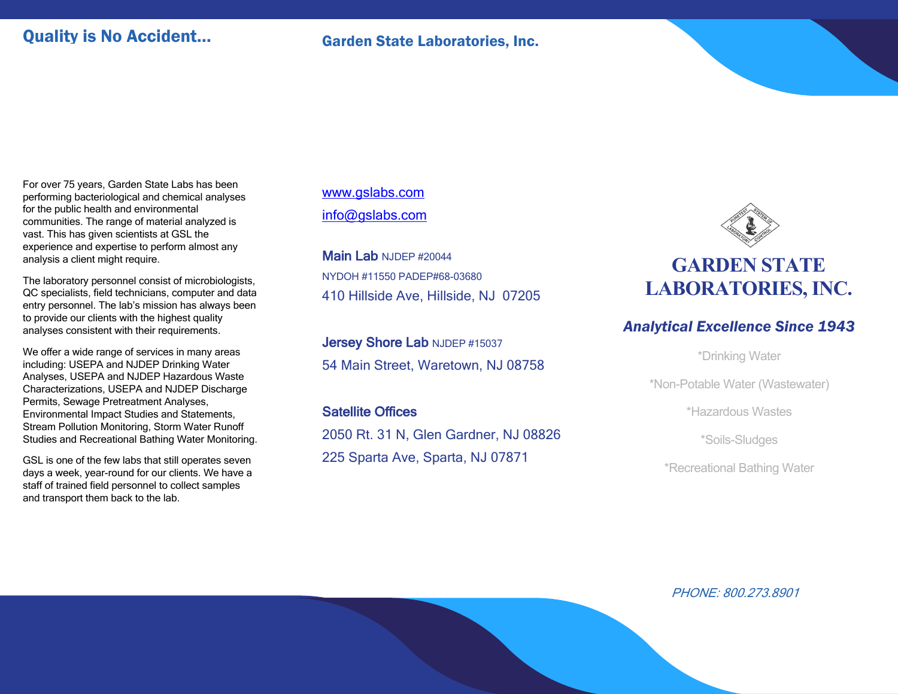### Quality is No Accident... Garden State Laboratories, Inc.

For over 75 years, Garden State Labs has been performing bacteriological and chemical analyses for the public health and environmental communities. The range of material analyzed is vast. This has given scientists at GSL the experience and expertise to perform almost any analysis a client might require.

The laboratory personnel consist of microbiologists, QC specialists, field technicians, computer and data entry personnel. The lab's mission has always been to provide our clients with the highest quality analyses consistent with their requirements.

We offer a wide range of services in many areas including: USEPA and NJDEP Drinking Water Analyses, USEPA and NJDEP Hazardous Waste Characterizations, USEPA and NJDEP Discharge Permits, Sewage Pretreatment Analyses, Environmental Impact Studies and Statements, Stream Pollution Monitoring, Storm Water Runoff Studies and Recreational Bathing Water Monitoring.

GSL is one of the few labs that still operates seven days a week, year-round for our clients. We have a staff of trained field personnel to collect samples and transport them back to the lab.

www.gslabs.com info@gslabs.com

Main Lab NJDEP #20044 NYDOH #11550 PADEP#68-03680 410 Hillside Ave, Hillside, NJ 07205

Jersey Shore Lab NJDEP #15037 54 Main Street, Waretown, NJ 08758

Satellite Offices 2050 Rt. 31 N, Glen Gardner, NJ 08826 225 Sparta Ave, Sparta, NJ 07871



## **GARDEN STATE LABORATORIES,INC.**

### *Analytical Excellence Since 1943*

\*Drinking Water

\*Non-Potable Water (Wastewater)

\*Hazardous Wastes

\*Soils-Sludges

\*Recreational Bathing Water

PHONE: 800.273.8901